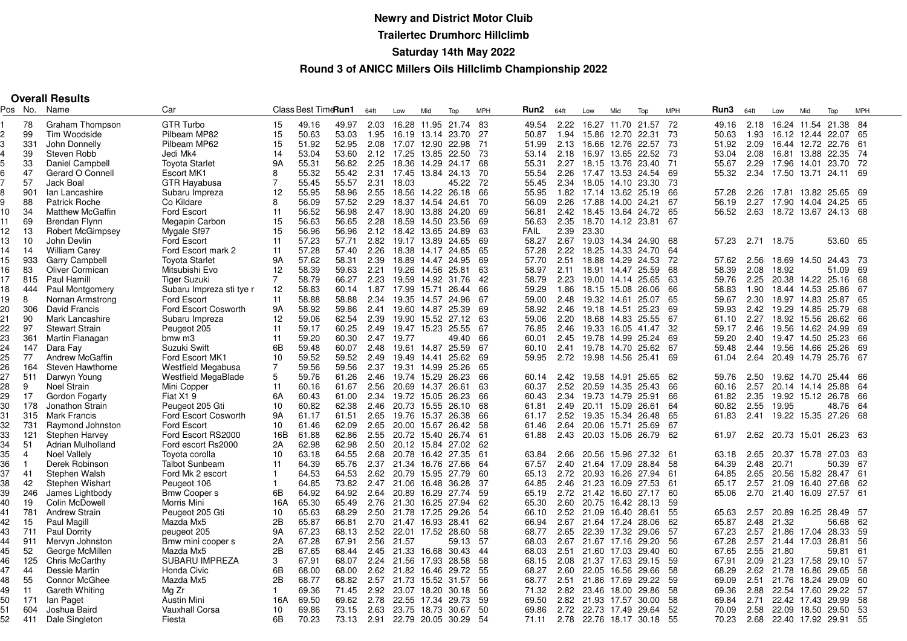# **Newry and District Motor Cluib Trailertec Drumhorc HillclimbSaturday 14th May 2022**

#### **Round 3 of ANICC Millers Oils Hillclimb Championship 2022**

|  | <b>Overall Results</b> |  |
|--|------------------------|--|
|--|------------------------|--|

| Pos | No.            | Name                    | Car                         |                | Class Best TimeRun1 |       | 64ft | Low                    | Mid               | Top   | <b>MPH</b> | Run2        | 64ft | Low                    | Mid         | Top   | <b>MPH</b> | Run3  | 64ft | Low                    | Mid               | Top                       | <b>MPH</b> |
|-----|----------------|-------------------------|-----------------------------|----------------|---------------------|-------|------|------------------------|-------------------|-------|------------|-------------|------|------------------------|-------------|-------|------------|-------|------|------------------------|-------------------|---------------------------|------------|
|     | 78             | Graham Thompson         | <b>GTR Turbo</b>            | 15             | 49.16               | 49.97 | 2.03 | 16.28 11.95            |                   | 21.74 | -83        | 49.54       | 2.22 | 16.27 11.70 21.57      |             |       | 72         | 49.16 | 2.18 |                        | 16.24 11.54       | 21.38                     | 84         |
|     | 99             | Tim Woodside            | Pilbeam MP82                | 15             | 50.63               | 53.03 | 1.95 | 16.19                  | 13.14             | 23.70 | 27         | 50.87       | 1.94 | 15.86                  | 12.70       | 22.31 | 73         | 50.63 | 1.93 |                        | 16.12 12.44       | 22.07                     | 65         |
|     | 331            | John Donnelly           | Pilbeam MP62                | 15             | 51.92               | 52.95 | 2.08 | 17.07 12.90 22.98      |                   |       | - 71       | 51.99       | 2.13 | 16.66                  | 12.76       | 22.57 | 73         | 51.92 | 2.09 | 16.44 12.72            |                   | 22.76                     | -61        |
|     | 39             | Steven Robb             | Jedi Mk4                    | 14             | 53.04               | 53.60 | 2.12 | 17.25                  | 13.85 22.50       |       | -73        | 53.14       | 2.18 | 16.97 13.65            |             | 22.52 | -73        | 53.04 | 2.08 | 16.81 13.88            |                   | 22.35                     | -74        |
|     | 33             | Daniel Campbell         | <b>Toyota Starlet</b>       | <b>9A</b>      | 55.31               | 56.82 | 2.25 | 18.36                  | 14.29             | 24.17 | 68         | 55.31       | 2.27 | 18.15 13.76 23.40      |             |       | 71         | 55.67 | 2.29 | 17.96 14.01 23.70      |                   |                           | 72         |
|     | 47             | Gerard O Connell        | Escort MK1                  | 8              | 55.32               | 55.42 | 2.31 | 17.45                  | 13.84 24.13       |       | 70         | 55.54       | 2.26 | 17.47 13.53 24.54      |             |       | 69         | 55.32 | 2.34 | 17.50 13.71 24.11      |                   |                           | 69         |
|     |                | Jack Boal               |                             | $\overline{7}$ | 55.45               | 55.57 |      | 18.03                  |                   | 45.22 | 72         |             | 2.34 |                        |             |       |            |       |      |                        |                   |                           |            |
|     | 57             |                         | <b>GTR Hayabusa</b>         |                |                     |       | 2.31 |                        |                   |       |            | 55.45       |      | 18.05                  | 14.10 23.30 |       | -73        |       |      |                        |                   |                           |            |
|     | 901            | Ian Lancashire          | Subaru Impreza              | 12             | 55.95               | 58.96 | 2.55 |                        | 18.56 14.22 26.18 |       | 66         | 55.95       | 1.82 | 17.14 13.62 25.19      |             |       | 66         | 57.28 | 2.26 | 17.81 13.82 25.65      |                   |                           | -69        |
|     | 88             | <b>Patrick Roche</b>    | Co Kildare                  | 8              | 56.09               | 57.52 | 2.29 | 18.37                  | 14.54 24.61       |       | 70         | 56.09       | 2.26 | 17.88                  | 14.00 24.21 |       | 67         | 56.19 | 2.27 | 17.90 14.04 24.25      |                   |                           | 65         |
| 10  | 34             | <b>Matthew McGaffin</b> | <b>Ford Escort</b>          | 11             | 56.52               | 56.98 | 2.47 |                        | 18.90 13.88 24.20 |       | 69         | 56.81       | 2.42 | 18.45 13.64 24.72      |             |       | 65         | 56.52 |      |                        |                   | 2.63 18.72 13.67 24.13 68 |            |
| 11  | 69             | <b>Brendan Flynn</b>    | Megapin Carbon              | 15             | 56.63               | 56.65 | 2.28 | 18.59 14.50 23.56      |                   |       | 69         | 56.63       | 2.35 | 18.70 14.12 23.81      |             |       | 67         |       |      |                        |                   |                           |            |
| 12  | 13             | <b>Robert McGimpsey</b> | Mygale Sf97                 | 15             | 56.96               | 56.96 | 2.12 |                        | 18.42 13.65 24.89 |       | 63         | <b>FAIL</b> | 2.39 | 23.30                  |             |       |            |       |      |                        |                   |                           |            |
| 13  | 10             | John Devlin             | Ford Escort                 | 11             | 57.23               | 57.71 | 2.82 | 19.17 13.89 24.65      |                   |       | 69         | 58.27       | 2.67 | 19.03 14.34 24.90      |             |       | 68         | 57.23 |      | 2.71 18.75             |                   | 53.60                     | 65         |
| 14  | 14             | <b>William Carev</b>    | Ford Escort mark 2          | 11             | 57.28               | 57.40 | 2.26 |                        | 18.38 14.17 24.85 |       | 65         | 57.28       | 2.22 | 18.25                  | 14.33 24.70 |       | 64         |       |      |                        |                   |                           |            |
| 15  | 933            | <b>Garry Campbell</b>   | <b>Toyota Starlet</b>       | 9A             | 57.62               | 58.31 | 2.39 | 18.89                  | 14.47 24.95       |       | 69         | 57.70       | 2.51 | 18.88                  | 14.29       | 24.53 | -72        | 57.62 | 2.56 | 18.69                  | 14.50 24.43       |                           | -73        |
| 16  | 83             | <b>Oliver Cormican</b>  | Mitsubishi Evo              | 12             | 58.39               | 59.63 | 2.21 |                        | 19.26 14.56 25.81 |       | 63         | 58.97       | 2.11 | 18.91 14.47 25.59      |             |       | 68         | 58.39 | 2.08 | 18.92                  |                   | 51.09                     | 69         |
| 17  | 815            | Paul Hamill             | <b>Tiger Suzuki</b>         | $\overline{7}$ | 58.79               | 66.27 | 2.23 |                        | 19.59 14.92 31.76 |       | 42         | 58.79       | 2.23 | 19.00 14.14            |             | 25.65 | -63        | 59.76 | 2.25 | 20.38 14.22 25.16      |                   |                           | 68         |
| 18  | 444            | Paul Montgomery         | Subaru Impreza sti tye r    | 12             | 58.83               | 60.14 | 1.87 | 17.99 15.71            |                   | 26.44 | 66         | 59.29       | 1.86 | 18.15 15.08            |             | 26.06 | 66         | 58.83 | 1.90 |                        | 18.44 14.53 25.86 |                           | 67         |
| 19  | 8              | Nornan Armstrong        | Ford Escort                 | 11             | 58.88               | 58.88 | 2.34 | 19.35                  | 14.57 24.96       |       | 67         | 59.00       | 2.48 | 19.32                  | 14.61       | 25.07 | 65         | 59.67 | 2.30 |                        | 18.97 14.83 25.87 |                           | 65         |
| 20  | 306            | David Francis           | <b>Ford Escort Cosworth</b> | 9A             | 58.92               | 59.86 | 2.41 | 19.60 14.87 25.39      |                   |       | 69         | 58.92       | 2.46 | 19.18                  | 14.51       | 25.23 | 69         | 59.93 | 2.42 | 19.29 14.85 25.79      |                   |                           | 68         |
| 21  | 90             | Mark Lancashire         | Subaru Impreza              | 12             | 59.06               | 62.54 | 2.39 | 19.90 15.52 27.12      |                   |       | -63        | 59.06       | 2.20 | 18.68 14.83 25.55      |             |       | 67         | 61.10 | 2.27 |                        | 18.92 15.56 26.62 |                           | 66         |
| 22  | 97             | <b>Stewart Strain</b>   | Peugeot 205                 | 11             | 59.17               | 60.25 | 2.49 |                        | 19.47 15.23 25.55 |       | 67         | 76.85       | 2.46 | 19.33                  | 16.05 41.47 |       | 32         | 59.17 | 2.46 | 19.56 14.62 24.99      |                   |                           | 69         |
| 23  | 361            | Martin Flanagan         | bmw m3                      | 11             | 59.20               | 60.30 | 2.47 | 19.77                  |                   | 49.40 | 66         | 60.01       | 2.45 | 19.78 14.99 25.24      |             |       | 69         | 59.20 | 2.40 | 19.47 14.50 25.23      |                   |                           | 66         |
| 24  | 147            | Dara Fay                | Suzuki Swift                | 6B             | 59.48               | 60.07 | 2.48 |                        | 19.61 14.87 25.59 |       | -67        | 60.10       | 2.41 | 19.78 14.70 25.62      |             |       | -67        | 59.48 | 2.44 | 19.56 14.66 25.26      |                   |                           | 69         |
| 25  | 77             | Andrew McGaffin         | Ford Escort MK1             | 10             | 59.52               | 59.52 | 2.49 | 19.49                  | 14.41             | 25.62 | -69        | 59.95       | 2.72 | 19.98                  | 14.56 25.41 |       | 69         | 61.04 | 2.64 |                        | 20.49 14.79 25.76 |                           | 67         |
| 26  | 164            | Steven Hawthorne        | Westfield Megabusa          | $\overline{7}$ | 59.56               | 59.56 | 2.37 |                        | 19.31 14.99 25.26 |       | 65         |             |      |                        |             |       |            |       |      |                        |                   |                           |            |
| 27  | 511            | Darwyn Young            | <b>Westfield MegaBlade</b>  | 5              | 59.76               | 61.26 | 2.46 | 19.74 15.29 26.23      |                   |       | 66         | 60.14       | 2.42 | 19.58                  | 14.91       | 25.65 | -62        | 59.76 | 2.50 | 19.62 14.70 25.44      |                   |                           | 66         |
| 28  | 9              | Noel Strain             | Mini Copper                 | 11             | 60.16               | 61.67 | 2.56 | 20.69 14.37 26.61      |                   |       | 63         | 60.37       | 2.52 | 20.59                  | 14.35       | 25.43 | 66         | 60.16 | 2.57 |                        | 20.14 14.14       | 25.88                     | 64         |
| 29  | 17             | Gordon Fogarty          | Fiat X1 9                   | 6A             | 60.43               | 61.00 | 2.34 |                        | 19.72 15.05 26.23 |       | 66         | 60.43       | 2.34 | 19.73 14.79            |             | 25.91 | 66         | 61.82 | 2.35 | 19.92 15.12 26.78      |                   |                           | 66         |
| 30  | 178            | Jonathon Strain         | Peugeot 205 Gti             | 10             | 60.82               | 62.38 | 2.46 | 20.73 15.55            |                   | 26.10 | 68         | 61.81       | 2.49 | 20.11 15.09            |             | 26.61 | 64         | 60.82 | 2.55 | 19.95                  |                   | 48.76                     | 64         |
| 31  | 315            | Mark Francis            | <b>Ford Escort Cosworth</b> | <b>9A</b>      | 61.17               | 61.51 | 2.65 | 19.76 15.37            |                   | 26.38 | 66         | 61.17       | 2.52 | 19.35 15.34            |             | 26.48 | 65         | 61.83 | 2.41 | 19.22 15.35 27.26      |                   |                           | 68         |
| 32  | 731            | Raymond Johnston        | Ford Escort                 | 10             | 61.46               | 62.09 | 2.65 | 20.00 15.67            |                   | 26.42 | 58         | 61.46       | 2.64 | 20.06                  | 15.71       | 25.69 | 67         |       |      |                        |                   |                           |            |
| 33  | 121            | Stephen Harvey          | Ford Escort RS2000          | 16B            | 61.88               | 62.86 | 2.55 |                        | 20.72 15.40 26.74 |       | -61        | 61.88       | 2.43 | 20.03                  | 15.06       | 26.79 | -62        | 61.97 | 2.62 | 20.73 15.01 26.23      |                   |                           | -63        |
| 34  | 51             | Adrian Mulholland       | Ford escort Rs2000          | 2A             | 62.98               | 62.98 | 2.50 |                        | 20.12 15.84 27.02 |       | 62         |             |      |                        |             |       |            |       |      |                        |                   |                           |            |
| 35  | $\overline{4}$ | Noel Vallely            | Toyota corolla              | 10             | 63.18               | 64.55 | 2.68 |                        | 20.78 16.42 27.35 |       | 61         | 63.84       | 2.66 | 20.56                  | 15.96 27.32 |       | -61        | 63.18 | 2.65 | 20.37                  |                   | 15.78 27.03               | -63        |
| 36  | $\mathbf{1}$   | Derek Robinson          | <b>Talbot Sunbeam</b>       | 11             | 64.39               | 65.76 | 2.37 | 21.34 16.76 27.66      |                   |       | -64        | 67.57       | 2.40 | 21.64 17.09            |             | 28.84 | -58        | 64.39 | 2.48 | 20.71                  |                   | 50.39                     | 67         |
| 37  | 41             | Stephen Walsh           | Ford Mk 2 escort            | $\mathbf{1}$   | 64.53               | 64.53 | 2.62 | 20.79 15.95 27.79      |                   |       | 60         | 65.13       | 2.72 | 20.93 16.26 27.94      |             |       | -61        | 64.85 | 2.65 | 20.56 15.82 28.47      |                   |                           | 61         |
| 38  | 42             | Stephen Wishart         | Peugeot 106                 | $\mathbf{1}$   | 64.85               | 73.82 | 2.47 | 21.06                  | 16.48 36.28       |       | 37         | 64.85       | 2.46 | 21.23                  | 16.09 27.53 |       | -61        | 65.17 | 2.57 | 21.09                  | 16.40 27.68       |                           | 62         |
| 39  | 246            | James Lightbody         | <b>Bmw Coopers</b>          | 6B             | 64.92               | 64.92 | 2.64 | 20.89 16.29 27.74      |                   |       | -59        | 65.19       |      | 2.72 21.42 16.60 27.17 |             |       | 60         | 65.06 |      | 2.70 21.40 16.09 27.57 |                   |                           | 61         |
| 40  | 19             | Colin McDowell          | Morris Mini                 | 16A            | 65.30               | 65.49 | 2.76 | 21.30 16.25 27.94      |                   |       | -62        | 65.30       | 2.60 | 20.75 16.42            |             | 28.13 | 59         |       |      |                        |                   |                           |            |
| 41  | 781            | <b>Andrew Strain</b>    | Peugeot 205 Gti             | 10             | 65.63               | 68.29 | 2.50 | 21.78 17.25 29.26      |                   |       | 54         | 66.10       | 2.52 | 21.09                  | 16.40       | 28.61 | 55         | 65.63 | 2.57 |                        | 20.89 16.25 28.49 |                           | -57        |
| 42  | 15             | Paul Magill             | Mazda Mx5                   | 2B             | 65.87               | 66.81 | 2.70 | 21.47 16.93 28.41      |                   |       | 62         | 66.94       | 2.67 | 21.64 17.24 28.06      |             |       | 62         | 65.87 | 2.48 | 21.32                  |                   | 56.68                     | 62         |
| 43  | 711            | <b>Paul Dorrity</b>     | peugeot 205                 | <b>9A</b>      | 67.23               | 68.13 | 2.52 | 22.01 17.52 28.60      |                   |       | 58         | 68.77       | 2.65 | 22.39 17.32            |             | 29.06 | -57        | 67.23 | 2.57 |                        | 21.86 17.04 28.33 |                           | 59         |
| 44  | 911            | Mervyn Johnston         | Bmw mini cooper s           | 2A             | 67.28               | 67.91 | 2.56 | 21.57                  |                   | 59.13 | -57        | 68.03       | 2.67 | 21.67 17.16 29.20      |             |       | -56        | 67.28 | 2.57 | 21.44 17.03            |                   | 28.81                     | 56         |
| 45  | 52             | George McMillen         | Mazda Mx5                   | 2B             | 67.65               | 68.44 | 2.45 | 21.33                  | 16.68 30.43       |       | 44         | 68.03       | 2.51 |                        | 21.60 17.03 | 29.40 | 60         | 67.65 | 2.55 | 21.80                  |                   | 59.81                     | 61         |
| 46  | 125            | Chris McCarthy          | SUBARU IMPREZA              | 3              | 67.91               | 68.07 | 2.24 | 21.56 17.93            |                   | 28.58 | 58         | 68.15       | 2.08 | 21.37 17.63            |             | 29.15 | 59         | 67.91 | 2.09 | 21.23 17.58 29.10      |                   |                           | -57        |
| 47  | 44             | Dessie Martin           | Honda Civic                 | 6B             | 68.00               | 68.00 | 2.62 | 21.82 16.46 29.72      |                   |       | 55         | 68.27       | 2.60 | 22.05                  | 16.56       | 29.66 | 58         | 68.29 | 2.62 | 21.78                  | 16.86             | 29.65                     | 58         |
| 48  | 55             | <b>Connor McGhee</b>    | Mazda Mx5                   | 2B             | 68.77               | 68.82 | 2.57 | 21.73                  | 15.52             | 31.57 | 56         | 68.77       | 2.51 | 21.86                  | 17.69       | 29.22 | 59         | 69.09 | 2.51 | 21.76                  | 18.24             | 29.09                     | 60         |
| 49  | 11             | Gareth Whiting          | Mg Zr                       | $\mathbf{1}$   | 69.36               | 71.45 | 2.92 | 23.07 18.20 30.18      |                   |       | 56         | 71.32       | 2.82 | 23.46 18.00            |             | 29.86 | 58         | 69.36 | 2.88 | 22.54 17.60            |                   | 29.22                     | -57        |
| 50  | 171            | lan Paget               | Austin Mini                 | 16A            | 69.50               | 69.62 | 2.78 | 22.55 17.34            |                   | 29.73 | 59         | 69.50       | 2.82 | 21.93 17.57            |             | 30.00 | 58         | 69.84 | 2.71 |                        | 22.42 17.43       | 29.99                     | 58         |
| 51  | 604            | Joshua Baird            | <b>Vauxhall Corsa</b>       | 10             | 69.86               | 73.15 | 2.63 | 23.75                  | 18.73 30.67       |       | 50         | 69.86       | 2.72 | 22.73 17.49            |             | 29.64 | 52         | 70.09 | 2.58 |                        | 22.09 18.50       | 29.50                     | 53         |
| 52  | 411            | Dale Singleton          | Fiesta                      | 6 <sub>B</sub> | 70.23               | 73.13 |      | 2.91 22.79 20.05 30.29 |                   |       | -54        | 71.11       |      | 2.78 22.76 18.17 30.18 |             |       | -55        | 70.23 |      |                        |                   | 2.68 22.40 17.92 29.91 55 |            |
|     |                |                         |                             |                |                     |       |      |                        |                   |       |            |             |      |                        |             |       |            |       |      |                        |                   |                           |            |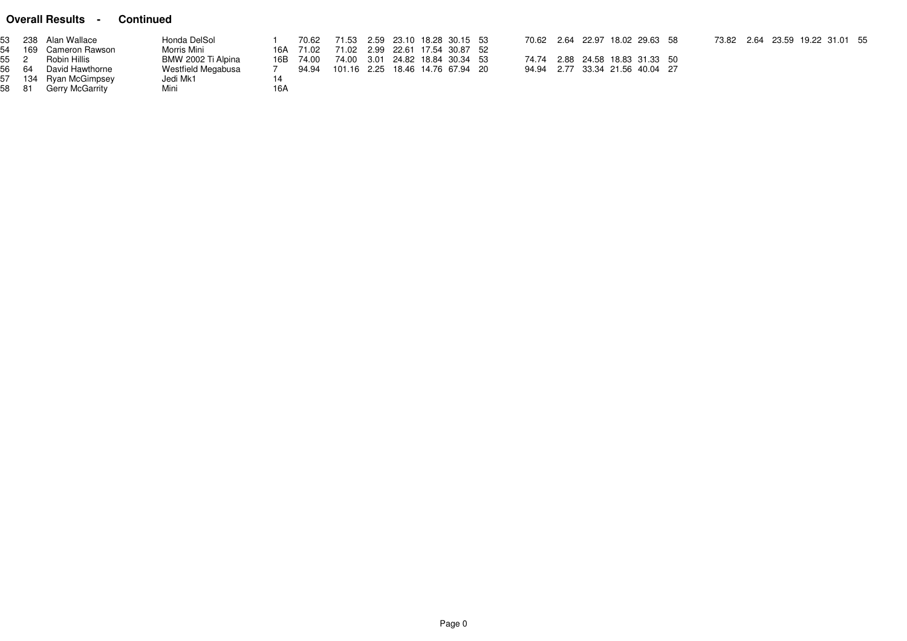### **Overall Results - Continued**

|       | 53 238 Alan Wallace   | Honda DelSol       |     | 70.62     |                                  |  |  | 70.62  2.64  22.97  18.02  29.63  58 |  |  |  |  | 73.82  2.64  23.59  19.22  31.01  55 |  |
|-------|-----------------------|--------------------|-----|-----------|----------------------------------|--|--|--------------------------------------|--|--|--|--|--------------------------------------|--|
|       | 54 169 Cameron Rawson | Morris Mini        |     | 16A 71.02 | 71.02 2.99 22.61 17.54 30.87 52  |  |  |                                      |  |  |  |  |                                      |  |
|       | 55 2 Robin Hillis     | BMW 2002 Ti Alpina |     | 16B 74.00 | 74.00 3.01 24.82 18.84 30.34 53  |  |  | 74.74 2.88 24.58 18.83 31.33 50      |  |  |  |  |                                      |  |
|       | 56 64 David Hawthorne | Westfield Megabusa |     | 94.94     | 101.16 2.25 18.46 14.76 67.94 20 |  |  | 94.94 2.77 33.34 21.56 40.04 27      |  |  |  |  |                                      |  |
|       | 57 134 Ryan McGimpsey | Jedi Mk1           |     |           |                                  |  |  |                                      |  |  |  |  |                                      |  |
| 58 81 | Gerry McGarrity       | Mini               | 16A |           |                                  |  |  |                                      |  |  |  |  |                                      |  |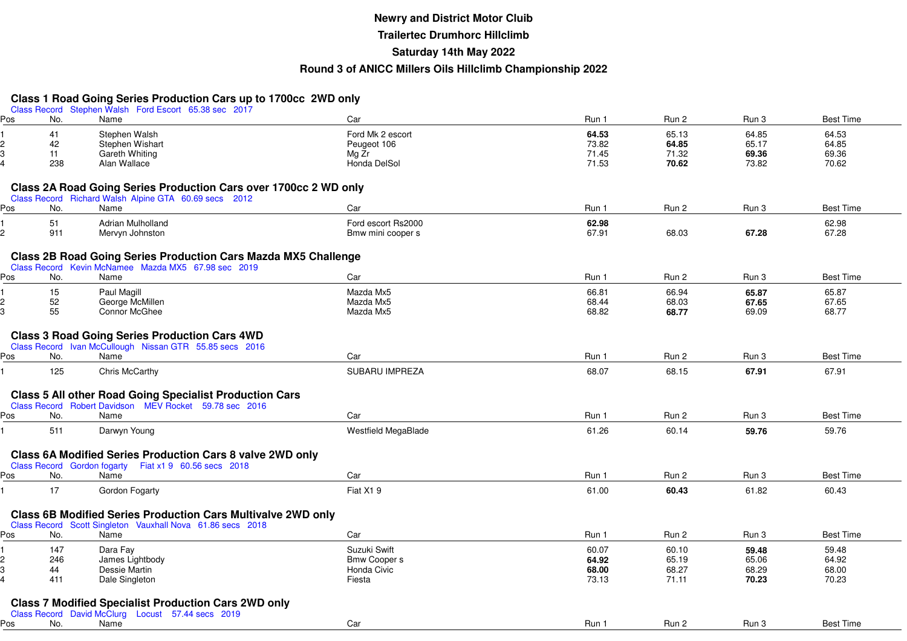### **Newry and District Motor Cluib Trailertec Drumhorc HillclimbSaturday 14th May 2022Round 3 of ANICC Millers Oils Hillclimb Championship 2022**

### **Class 1 Road Going Series Production Cars up to 1700cc 2WD only**

|     |     | Class Record Stephen Walsh Ford Escort 65.38 sec 2017                 |                            |       |       |       |                  |
|-----|-----|-----------------------------------------------------------------------|----------------------------|-------|-------|-------|------------------|
| Pos | No. | Name                                                                  | Car                        | Run 1 | Run 2 | Run 3 | <b>Best Time</b> |
|     | 41  | Stephen Walsh                                                         | Ford Mk 2 escort           | 64.53 | 65.13 | 64.85 | 64.53            |
|     | 42  | Stephen Wishart                                                       | Peugeot 106                | 73.82 | 64.85 | 65.17 | 64.85            |
|     | 11  | Gareth Whiting                                                        | Mg Zr                      | 71.45 | 71.32 | 69.36 | 69.36            |
|     | 238 | Alan Wallace                                                          | Honda DelSol               | 71.53 | 70.62 | 73.82 | 70.62            |
|     |     |                                                                       |                            |       |       |       |                  |
|     |     | Class 2A Road Going Series Production Cars over 1700cc 2 WD only      |                            |       |       |       |                  |
|     |     | Class Record Richard Walsh Alpine GTA 60.69 secs 2012                 |                            |       |       |       |                  |
| Pos | No. | Name                                                                  | Car                        | Run 1 | Run 2 | Run 3 | <b>Best Time</b> |
|     | 51  | <b>Adrian Mulholland</b>                                              | Ford escort Rs2000         | 62.98 |       |       | 62.98            |
|     | 911 | Mervyn Johnston                                                       | Bmw mini cooper s          | 67.91 | 68.03 | 67.28 | 67.28            |
|     |     |                                                                       |                            |       |       |       |                  |
|     |     | <b>Class 2B Road Going Series Production Cars Mazda MX5 Challenge</b> |                            |       |       |       |                  |
|     |     | Class Record Kevin McNamee Mazda MX5 67.98 sec 2019                   |                            |       |       |       |                  |
| Pos | No. | Name                                                                  | Car                        | Run 1 | Run 2 | Run 3 | <b>Best Time</b> |
|     | 15  | Paul Magill                                                           | Mazda Mx5                  | 66.81 | 66.94 | 65.87 | 65.87            |
|     | 52  | George McMillen                                                       | Mazda Mx5                  | 68.44 | 68.03 | 67.65 | 67.65            |
|     | 55  | Connor McGhee                                                         | Mazda Mx5                  | 68.82 | 68.77 | 69.09 | 68.77            |
|     |     |                                                                       |                            |       |       |       |                  |
|     |     | <b>Class 3 Road Going Series Production Cars 4WD</b>                  |                            |       |       |       |                  |
|     |     | Class Record Ivan McCullough Nissan GTR 55.85 secs 2016               |                            |       |       |       |                  |
| Pos | No. | Name                                                                  | Car                        | Run 1 | Run 2 | Run 3 | <b>Best Time</b> |
|     |     |                                                                       | SUBARU IMPREZA             |       |       |       |                  |
|     | 125 | Chris McCarthy                                                        |                            | 68.07 | 68.15 | 67.91 | 67.91            |
|     |     |                                                                       |                            |       |       |       |                  |
|     |     | <b>Class 5 All other Road Going Specialist Production Cars</b>        |                            |       |       |       |                  |
|     | No. | Class Record Robert Davidson MEV Rocket 59.78 sec 2016<br>Name        | Car                        | Run 1 | Run 2 | Run 3 | <b>Best Time</b> |
| Pos |     |                                                                       |                            |       |       |       |                  |
|     | 511 | Darwyn Young                                                          | <b>Westfield MegaBlade</b> | 61.26 | 60.14 | 59.76 | 59.76            |
|     |     |                                                                       |                            |       |       |       |                  |
|     |     | Class 6A Modified Series Production Cars 8 valve 2WD only             |                            |       |       |       |                  |
|     |     | Class Record Gordon fogarty Fiat x1 9 60.56 secs 2018                 |                            |       |       |       |                  |
| Pos | No. | Name                                                                  | Car                        | Run 1 | Run 2 | Run 3 | <b>Best Time</b> |
|     | 17  | Gordon Fogarty                                                        | Fiat X19                   | 61.00 | 60.43 | 61.82 | 60.43            |
|     |     |                                                                       |                            |       |       |       |                  |
|     |     | <b>Class 6B Modified Series Production Cars Multivalve 2WD only</b>   |                            |       |       |       |                  |
|     |     | Class Record Scott Singleton Vauxhall Nova 61.86 secs 2018            |                            |       |       |       |                  |
| Pos | No. | Name                                                                  | Car                        | Run 1 | Run 2 | Run 3 | <b>Best Time</b> |
|     | 147 | Dara Fay                                                              | Suzuki Swift               | 60.07 | 60.10 | 59.48 | 59.48            |
|     | 246 | James Lightbody                                                       | <b>Bmw Cooper s</b>        | 64.92 | 65.19 | 65.06 | 64.92            |
|     | 44  | Dessie Martin                                                         | Honda Civic                | 68.00 | 68.27 | 68.29 | 68.00            |
|     | 411 | Dale Singleton                                                        | Fiesta                     | 73.13 | 71.11 | 70.23 | 70.23            |
|     |     |                                                                       |                            |       |       |       |                  |
|     |     | <b>Class 7 Modified Specialist Production Cars 2WD only</b>           |                            |       |       |       |                  |
|     |     | Class Record David McClurg Locust 57.44 secs 2019                     |                            |       |       |       |                  |
| Pos | No. | Name                                                                  | Car                        | Run 1 | Run 2 | Run 3 | <b>Best Time</b> |
|     |     |                                                                       |                            |       |       |       |                  |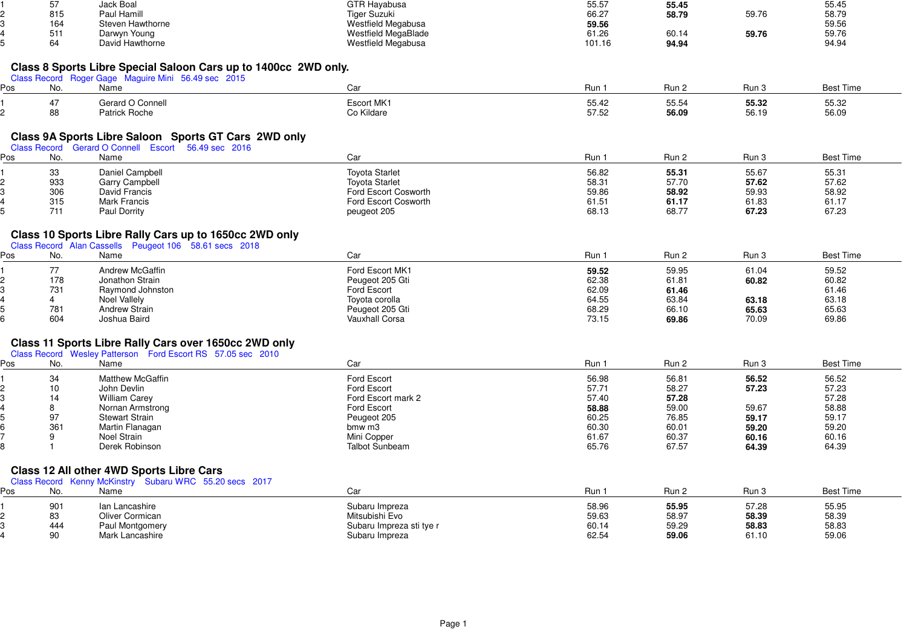|     | 57           | Jack Boal                                                                                                              | <b>GTR Hayabusa</b>        | 55.57          | 55.45 |       | 55.45            |  |
|-----|--------------|------------------------------------------------------------------------------------------------------------------------|----------------------------|----------------|-------|-------|------------------|--|
|     | 815          | Paul Hamill                                                                                                            | Tiger Suzuki               | 66.27          | 58.79 | 59.76 | 58.79            |  |
|     | 164          | Steven Hawthorne                                                                                                       | Westfield Megabusa         | 59.56          |       |       | 59.56            |  |
|     | 511          | Darwyn Young                                                                                                           | <b>Westfield MegaBlade</b> | 61.26          | 60.14 | 59.76 | 59.76            |  |
|     | 64           | David Hawthorne                                                                                                        | Westfield Megabusa         | 101.16         | 94.94 |       | 94.94            |  |
|     |              |                                                                                                                        |                            |                |       |       |                  |  |
|     |              | Class 8 Sports Libre Special Saloon Cars up to 1400cc 2WD only.<br>Class Record Roger Gage Maguire Mini 56.49 sec 2015 |                            |                |       |       |                  |  |
| Pos | No.          | Name                                                                                                                   | Car                        | Run 1          | Run 2 | Run 3 | <b>Best Time</b> |  |
|     | 47           | Gerard O Connell                                                                                                       | Escort MK1                 | 55.42          | 55.54 | 55.32 | 55.32            |  |
|     | 88           | <b>Patrick Roche</b>                                                                                                   | Co Kildare                 | 57.52          | 56.09 | 56.19 | 56.09            |  |
|     |              |                                                                                                                        |                            |                |       |       |                  |  |
|     |              | Class 9A Sports Libre Saloon Sports GT Cars 2WD only                                                                   |                            |                |       |       |                  |  |
|     |              | Class Record Gerard O Connell Escort 56.49 sec 2016                                                                    |                            |                |       |       |                  |  |
| Pos | No.          | Name                                                                                                                   | Car                        | Run 1          | Run 2 | Run 3 | <b>Best Time</b> |  |
|     | 33           | Daniel Campbell                                                                                                        | <b>Toyota Starlet</b>      | 56.82          | 55.31 | 55.67 | 55.31            |  |
|     | 933          | Garry Campbell                                                                                                         | <b>Toyota Starlet</b>      | 58.31          | 57.70 | 57.62 | 57.62            |  |
|     | 306          | David Francis                                                                                                          | Ford Escort Cosworth       | 59.86          | 58.92 | 59.93 | 58.92            |  |
|     | 315          | <b>Mark Francis</b>                                                                                                    | Ford Escort Cosworth       | 61.51          | 61.17 | 61.83 | 61.17            |  |
|     | 711          | <b>Paul Dorrity</b>                                                                                                    | peugeot 205                | 68.13          | 68.77 | 67.23 | 67.23            |  |
|     |              |                                                                                                                        |                            |                |       |       |                  |  |
|     |              | Class 10 Sports Libre Rally Cars up to 1650cc 2WD only<br>Class Record Alan Cassells Peugeot 106 58.61 secs 2018       |                            |                |       |       |                  |  |
| Pos | No.          | Name                                                                                                                   | Car                        | Run 1          | Run 2 | Run 3 | <b>Best Time</b> |  |
|     | 77           | Andrew McGaffin                                                                                                        | Ford Escort MK1            |                | 59.95 | 61.04 | 59.52            |  |
|     | 178          | Jonathon Strain                                                                                                        | Peugeot 205 Gti            | 59.52<br>62.38 | 61.81 | 60.82 | 60.82            |  |
|     | 731          | Raymond Johnston                                                                                                       | Ford Escort                | 62.09          | 61.46 |       | 61.46            |  |
|     | 4            | Noel Vallely                                                                                                           | Toyota corolla             | 64.55          | 63.84 | 63.18 | 63.18            |  |
|     | 781          | <b>Andrew Strain</b>                                                                                                   | Peugeot 205 Gti            | 68.29          | 66.10 | 65.63 | 65.63            |  |
|     | 604          | Joshua Baird                                                                                                           | <b>Vauxhall Corsa</b>      | 73.15          | 69.86 | 70.09 | 69.86            |  |
|     |              |                                                                                                                        |                            |                |       |       |                  |  |
|     |              | Class 11 Sports Libre Rally Cars over 1650cc 2WD only                                                                  |                            |                |       |       |                  |  |
|     |              | Class Record Wesley Patterson Ford Escort RS 57.05 sec 2010                                                            |                            |                |       |       |                  |  |
| Pos | No.          | Name                                                                                                                   | Car                        | Run 1          | Run 2 | Run 3 | <b>Best Time</b> |  |
|     | 34           | <b>Matthew McGaffin</b>                                                                                                | Ford Escort                | 56.98          | 56.81 | 56.52 | 56.52            |  |
|     | 10           | John Devlin                                                                                                            | Ford Escort                | 57.71          | 58.27 | 57.23 | 57.23            |  |
|     | 14           | <b>William Carey</b>                                                                                                   | Ford Escort mark 2         | 57.40          | 57.28 |       | 57.28            |  |
|     | 8            | Nornan Armstrong                                                                                                       | Ford Escort                | 58.88          | 59.00 | 59.67 | 58.88            |  |
|     | 97           | <b>Stewart Strain</b>                                                                                                  | Peugeot 205                | 60.25          | 76.85 | 59.17 | 59.17            |  |
|     | 361          | Martin Flanagan                                                                                                        | bmw m3                     | 60.30          | 60.01 | 59.20 | 59.20            |  |
|     | 9            | Noel Strain                                                                                                            | Mini Copper                | 61.67          | 60.37 | 60.16 | 60.16            |  |
|     | $\mathbf{1}$ | Derek Robinson                                                                                                         | <b>Talbot Sunbeam</b>      | 65.76          | 67.57 | 64.39 | 64.39            |  |
|     |              | Class 12 All other 4WD Sports Libre Cars                                                                               |                            |                |       |       |                  |  |
|     |              | Class Record Kenny McKinstry Subaru WRC 55.20 secs 2017                                                                |                            |                |       |       |                  |  |
| Pos | No.          | Name                                                                                                                   | Car                        | Run 1          | Run 2 | Run 3 | <b>Best Time</b> |  |
|     | 901          | Ian Lancashire                                                                                                         | Subaru Impreza             | 58.96          | 55.95 | 57.28 | 55.95            |  |
|     | 83           | Oliver Cormican                                                                                                        | Mitsubishi Evo             | 59.63          | 58.97 | 58.39 | 58.39            |  |
|     | 444          | Paul Montgomery                                                                                                        | Subaru Impreza sti tye r   | 60.14          | 59.29 | 58.83 | 58.83            |  |
|     | 90           | Mark Lancashire                                                                                                        | Subaru Impreza             | 62.54          | 59.06 | 61.10 | 59.06            |  |
|     |              |                                                                                                                        |                            |                |       |       |                  |  |